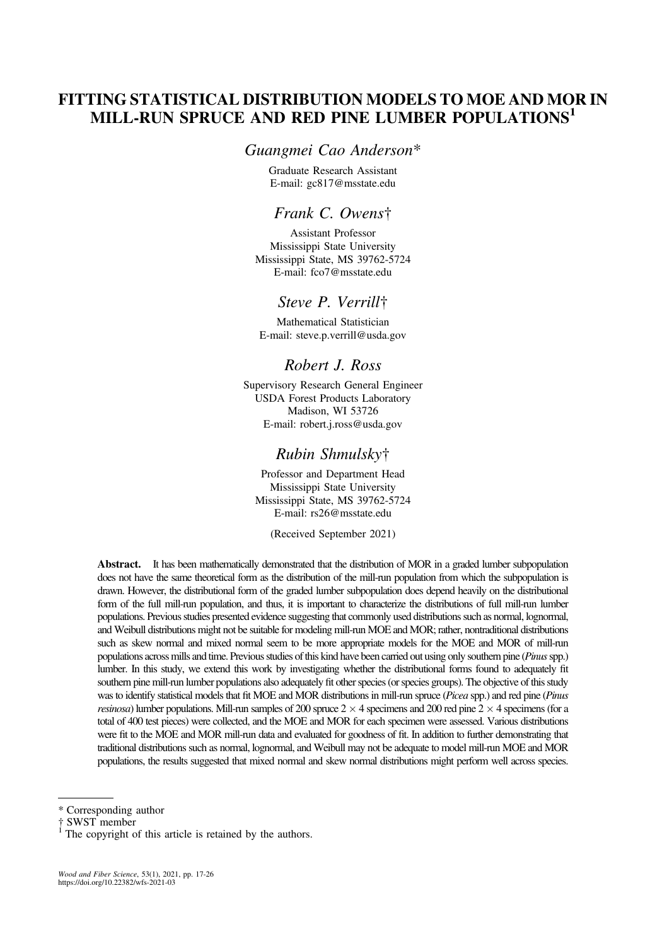# FITTING STATISTICAL DISTRIBUTION MODELS TO MOE AND MOR IN MILL-RUN SPRUCE AND RED PINE LUMBER POPULATIONS<sup>1</sup>

### Guangmei Cao Anderson\*

Graduate Research Assistant E-mail: [gc817@msstate.edu](mailto:gc817@msstate.edu)

## Frank C. Owens†

Assistant Professor Mississippi State University Mississippi State, MS 39762-5724 E-mail: [fco7@msstate.edu](mailto:fco7@msstate.edu)

## Steve P. Verrill†

Mathematical Statistician E-mail: [steve.p.verrill@usda.gov](mailto:steve.p.verrill@usda.gov)

## Robert J. Ross

Supervisory Research General Engineer USDA Forest Products Laboratory Madison, WI 53726 E-mail: [robert.j.ross@usda.gov](mailto:robert.j.ross@usda.gov)

### Rubin Shmulsky†

Professor and Department Head Mississippi State University Mississippi State, MS 39762-5724 E-mail: [rs26@msstate.edu](mailto:rs26@msstate.edu)

(Received September 2021)

Abstract. It has been mathematically demonstrated that the distribution of MOR in a graded lumber subpopulation does not have the same theoretical form as the distribution of the mill-run population from which the subpopulation is drawn. However, the distributional form of the graded lumber subpopulation does depend heavily on the distributional form of the full mill-run population, and thus, it is important to characterize the distributions of full mill-run lumber populations. Previous studies presented evidence suggesting that commonly used distributions such as normal, lognormal, and Weibull distributions might not be suitable for modeling mill-run MOE and MOR; rather, nontraditional distributions such as skew normal and mixed normal seem to be more appropriate models for the MOE and MOR of mill-run populations across mills and time. Previous studies of this kind have been carried out using only southern pine (Pinus spp.) lumber. In this study, we extend this work by investigating whether the distributional forms found to adequately fit southern pine mill-run lumber populations also adequately fit other species (or species groups). The objective of this study was to identify statistical models that fit MOE and MOR distributions in mill-run spruce (Picea spp.) and red pine (Pinus *resinosa*) lumber populations. Mill-run samples of 200 spruce  $2 \times 4$  specimens and 200 red pine  $2 \times 4$  specimens (for a total of 400 test pieces) were collected, and the MOE and MOR for each specimen were assessed. Various distributions were fit to the MOE and MOR mill-run data and evaluated for goodness of fit. In addition to further demonstrating that traditional distributions such as normal, lognormal, and Weibull may not be adequate to model mill-run MOE and MOR populations, the results suggested that mixed normal and skew normal distributions might perform well across species.

<sup>\*</sup> Corresponding author

The copyright of this article is retained by the authors.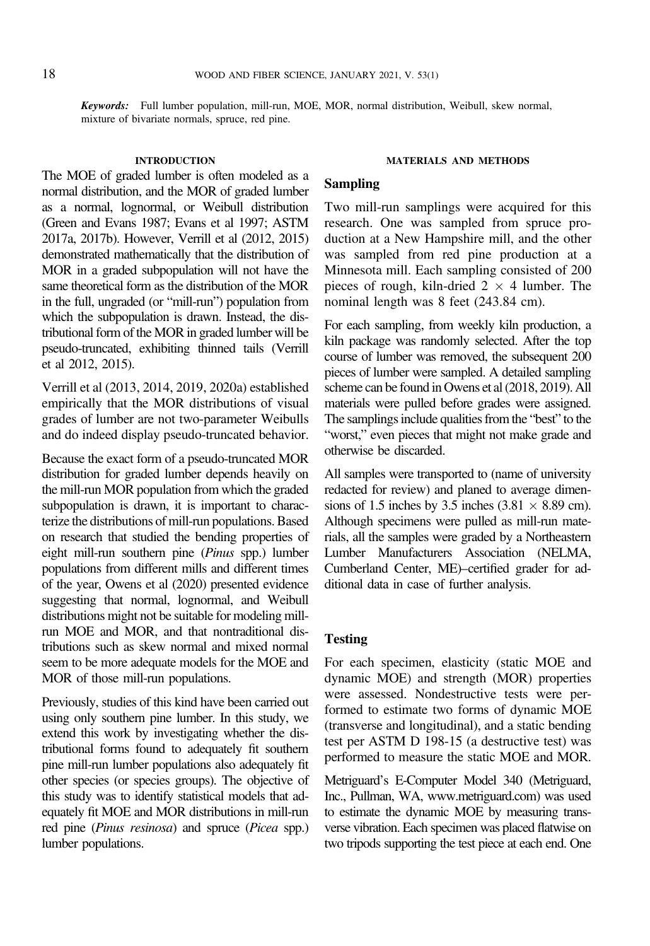Keywords: Full lumber population, mill-run, MOE, MOR, normal distribution, Weibull, skew normal, mixture of bivariate normals, spruce, red pine.

#### INTRODUCTION

The MOE of graded lumber is often modeled as a normal distribution, and the MOR of graded lumber as a normal, lognormal, or Weibull distribution [\(Green and Evans 1987; Evans et al 1997](#page-8-0); [ASTM](#page-7-0) [2017a, 2017b\)](#page-7-0). However, [Verrill et al \(2012, 2015\)](#page-8-0) demonstrated mathematically that the distribution of MOR in a graded subpopulation will not have the same theoretical form as the distribution of the MOR in the full, ungraded (or "mill-run") population from which the subpopulation is drawn. Instead, the distributional form of the MOR in graded lumber will be pseudo-truncated, exhibiting thinned tails [\(Verrill](#page-8-0) [et al 2012, 2015](#page-8-0)).

[Verrill et al \(2013, 2014](#page-8-0), [2019, 2020a\)](#page-8-0) established empirically that the MOR distributions of visual grades of lumber are not two-parameter Weibulls and do indeed display pseudo-truncated behavior.

Because the exact form of a pseudo-truncated MOR distribution for graded lumber depends heavily on the mill-run MOR population from which the graded subpopulation is drawn, it is important to characterize the distributions of mill-run populations. Based on research that studied the bending properties of eight mill-run southern pine (Pinus spp.) lumber populations from different mills and different times of the year, [Owens et al \(2020\)](#page-8-0) presented evidence suggesting that normal, lognormal, and Weibull distributions might not be suitable for modeling millrun MOE and MOR, and that nontraditional distributions such as skew normal and mixed normal seem to be more adequate models for the MOE and MOR of those mill-run populations.

Previously, studies of this kind have been carried out using only southern pine lumber. In this study, we extend this work by investigating whether the distributional forms found to adequately fit southern pine mill-run lumber populations also adequately fit other species (or species groups). The objective of this study was to identify statistical models that adequately fit MOE and MOR distributions in mill-run red pine (Pinus resinosa) and spruce (Picea spp.) lumber populations.

#### MATERIALS AND METHODS

## Sampling

Two mill-run samplings were acquired for this research. One was sampled from spruce production at a New Hampshire mill, and the other was sampled from red pine production at a Minnesota mill. Each sampling consisted of 200 pieces of rough, kiln-dried  $2 \times 4$  lumber. The nominal length was 8 feet (243.84 cm).

For each sampling, from weekly kiln production, a kiln package was randomly selected. After the top course of lumber was removed, the subsequent 200 pieces of lumber were sampled. A detailed sampling scheme can be found in [Owens et al \(2018, 2019\)](#page-8-0). All materials were pulled before grades were assigned. The samplings include qualities from the "best" to the "worst," even pieces that might not make grade and otherwise be discarded.

All samples were transported to (name of university redacted for review) and planed to average dimensions of 1.5 inches by 3.5 inches  $(3.81 \times 8.89 \text{ cm})$ . Although specimens were pulled as mill-run materials, all the samples were graded by a Northeastern Lumber Manufacturers Association (NELMA, Cumberland Center, ME)–certified grader for additional data in case of further analysis.

## **Testing**

For each specimen, elasticity (static MOE and dynamic MOE) and strength (MOR) properties were assessed. Nondestructive tests were performed to estimate two forms of dynamic MOE (transverse and longitudinal), and a static bending test per ASTM D 198-15 (a destructive test) was performed to measure the static MOE and MOR.

Metriguard's E-Computer Model 340 (Metriguard, Inc., Pullman, WA, [www.metriguard.com](http://www.metriguard.com)) was used to estimate the dynamic MOE by measuring transverse vibration. Each specimen was placed flatwise on two tripods supporting the test piece at each end. One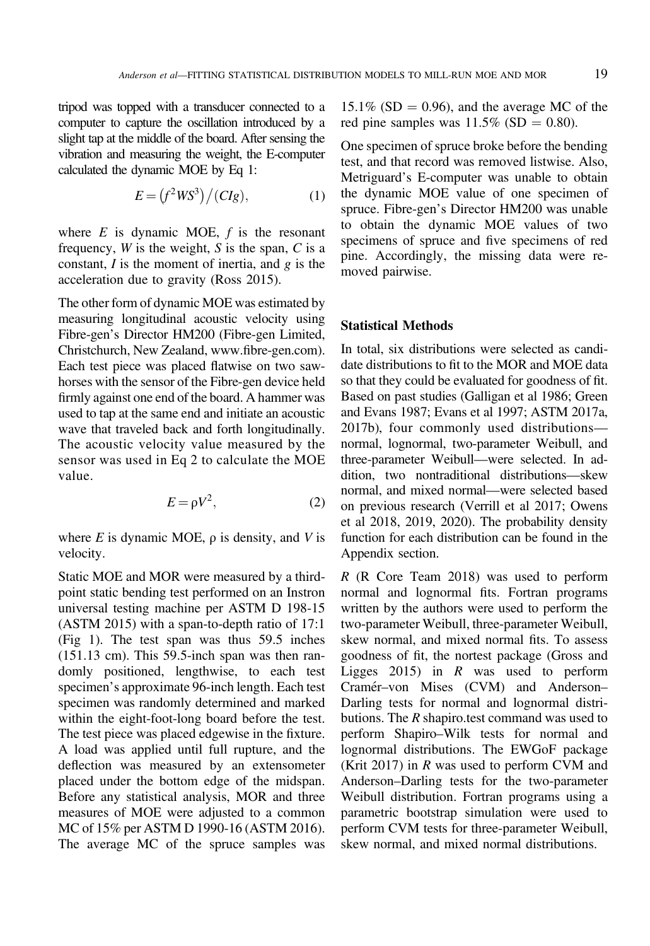tripod was topped with a transducer connected to a computer to capture the oscillation introduced by a slight tap at the middle of the board. After sensing the vibration and measuring the weight, the E-computer calculated the dynamic MOE by Eq 1:

$$
E = (f^2WS^3)/(CIg), \tag{1}
$$

where  $E$  is dynamic MOE,  $f$  is the resonant frequency,  $W$  is the weight,  $S$  is the span,  $C$  is a constant,  $I$  is the moment of inertia, and  $g$  is the acceleration due to gravity ([Ross 2015](#page-8-0)).

The other form of dynamic MOE was estimated by measuring longitudinal acoustic velocity using Fibre-gen's Director HM200 (Fibre-gen Limited, Christchurch, New Zealand, www.fi[bre-gen.com\)](http://www.fibre-gen.com). Each test piece was placed flatwise on two sawhorses with the sensor of the Fibre-gen device held firmly against one end of the board. A hammer was used to tap at the same end and initiate an acoustic wave that traveled back and forth longitudinally. The acoustic velocity value measured by the sensor was used in Eq 2 to calculate the MOE value.

$$
E = \rho V^2, \tag{2}
$$

where E is dynamic MOE,  $\rho$  is density, and V is velocity.

Static MOE and MOR were measured by a thirdpoint static bending test performed on an Instron universal testing machine per ASTM D 198-15 ([ASTM 2015](#page-7-0)) with a span-to-depth ratio of 17:1 ([Fig 1\)](#page-3-0). The test span was thus 59.5 inches (151.13 cm). This 59.5-inch span was then randomly positioned, lengthwise, to each test specimen's approximate 96-inch length. Each test specimen was randomly determined and marked within the eight-foot-long board before the test. The test piece was placed edgewise in the fixture. A load was applied until full rupture, and the deflection was measured by an extensometer placed under the bottom edge of the midspan. Before any statistical analysis, MOR and three measures of MOE were adjusted to a common MC of 15% per ASTM D 1990-16 ([ASTM 2016\)](#page-7-0). The average MC of the spruce samples was

 $15.1\%$  (SD = 0.96), and the average MC of the red pine samples was  $11.5\%$  (SD = 0.80).

One specimen of spruce broke before the bending test, and that record was removed listwise. Also, Metriguard's E-computer was unable to obtain the dynamic MOE value of one specimen of spruce. Fibre-gen's Director HM200 was unable to obtain the dynamic MOE values of two specimens of spruce and five specimens of red pine. Accordingly, the missing data were removed pairwise.

### Statistical Methods

In total, six distributions were selected as candidate distributions to fit to the MOR and MOE data so that they could be evaluated for goodness of fit. Based on past studies ([Galligan et al 1986](#page-8-0); [Green](#page-8-0) [and Evans 1987](#page-8-0); [Evans et al 1997;](#page-8-0) [ASTM 2017a](#page-7-0), [2017b](#page-7-0)), four commonly used distributions normal, lognormal, two-parameter Weibull, and three-parameter Weibull—were selected. In addition, two nontraditional distributions—skew normal, and mixed normal—were selected based on previous research ([Verrill et al 2017; Owens](#page-8-0) [et al 2018](#page-8-0), [2019](#page-8-0), [2020\)](#page-8-0). The probability density function for each distribution can be found in the Appendix section.

R ([R Core Team 2018\)](#page-8-0) was used to perform normal and lognormal fits. Fortran programs written by the authors were used to perform the two-parameter Weibull, three-parameter Weibull, skew normal, and mixed normal fits. To assess goodness of fit, the nortest package ([Gross and](#page-8-0) [Ligges 2015](#page-8-0)) in  $R$  was used to perform Cramér-von Mises (CVM) and Anderson-Darling tests for normal and lognormal distributions. The R shapiro.test command was used to perform Shapiro–Wilk tests for normal and lognormal distributions. The EWGoF package ([Krit 2017\)](#page-8-0) in  $R$  was used to perform CVM and Anderson–Darling tests for the two-parameter Weibull distribution. Fortran programs using a parametric bootstrap simulation were used to perform CVM tests for three-parameter Weibull, skew normal, and mixed normal distributions.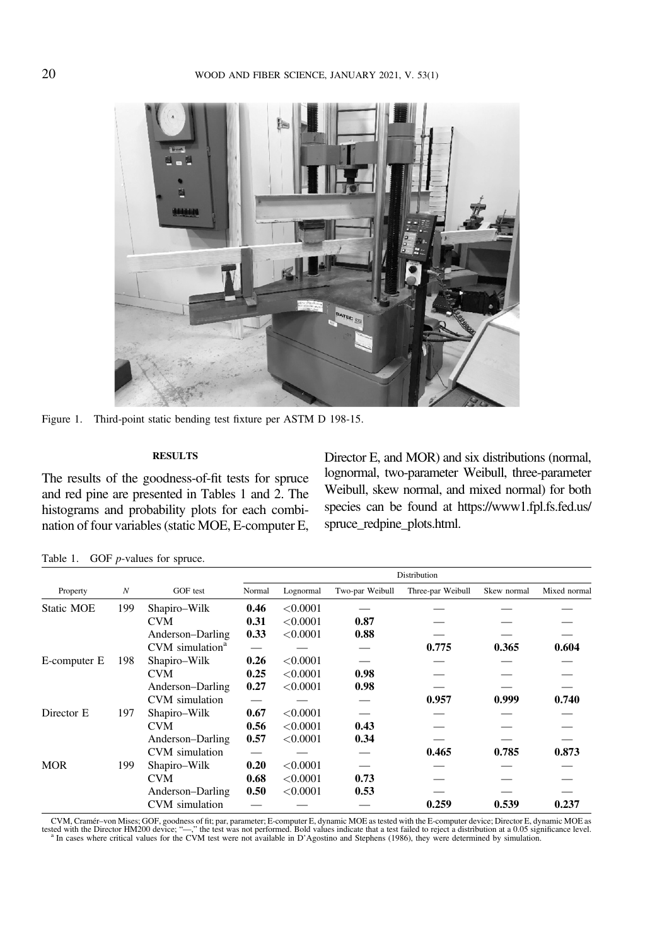<span id="page-3-0"></span>

Figure 1. Third-point static bending test fixture per ASTM D 198-15.

### **RESULTS**

The results of the goodness-of-fit tests for spruce and red pine are presented in Tables 1 and [2.](#page-4-0) The histograms and probability plots for each combination of four variables (static MOE, E-computer E, Director E, and MOR) and six distributions (normal, lognormal, two-parameter Weibull, three-parameter Weibull, skew normal, and mixed normal) for both species can be found at [https://www1.fpl.fs.fed.us/](https://www1.fpl.fs.fed.us/spruce_redpine_plots.html) [spruce\\_redpine\\_plots.html](https://www1.fpl.fs.fed.us/spruce_redpine_plots.html).

|              | $\boldsymbol{N}$ | GOF test                    | Distribution |           |                 |                   |             |              |  |
|--------------|------------------|-----------------------------|--------------|-----------|-----------------|-------------------|-------------|--------------|--|
| Property     |                  |                             | Normal       | Lognormal | Two-par Weibull | Three-par Weibull | Skew normal | Mixed normal |  |
| Static MOE   | 199              | Shapiro-Wilk                | 0.46         | < 0.0001  |                 |                   |             |              |  |
|              |                  | CVM.                        | 0.31         | < 0.0001  | 0.87            |                   |             |              |  |
|              |                  | Anderson–Darling            | 0.33         | < 0.0001  | 0.88            |                   |             |              |  |
|              |                  | CVM simulation <sup>a</sup> |              |           |                 | 0.775             | 0.365       | 0.604        |  |
| E-computer E | 198              | Shapiro-Wilk                | 0.26         | < 0.0001  |                 |                   |             |              |  |
|              |                  | <b>CVM</b>                  | 0.25         | < 0.0001  | 0.98            |                   |             |              |  |
|              |                  | Anderson-Darling            | 0.27         | < 0.0001  | 0.98            |                   |             |              |  |
|              |                  | CVM simulation              |              |           |                 | 0.957             | 0.999       | 0.740        |  |
| Director E   | 197              | Shapiro-Wilk                | 0.67         | < 0.0001  |                 |                   |             |              |  |
|              |                  | <b>CVM</b>                  | 0.56         | < 0.0001  | 0.43            |                   |             |              |  |
|              |                  | Anderson–Darling            | 0.57         | < 0.0001  | 0.34            |                   |             |              |  |
|              |                  | CVM simulation              |              |           |                 | 0.465             | 0.785       | 0.873        |  |
| <b>MOR</b>   | 199              | Shapiro-Wilk                | 0.20         | < 0.0001  |                 |                   |             |              |  |
|              |                  | CVM                         | 0.68         | < 0.0001  | 0.73            |                   |             |              |  |
|              |                  | Anderson–Darling            | 0.50         | < 0.0001  | 0.53            |                   |             |              |  |
|              |                  | CVM simulation              |              |           |                 | 0.259             | 0.539       | 0.237        |  |

Table 1. GOF *p*-values for spruce.

CVM, Cramér–von Mises; GOF, goodness of fit; par, parameter; E-computer E, dynamic MOE as tested with the E-computer device; Director E, dynamic MOE as the U.S. (Specifyre 1, 2007) and the Director H, and the Director H,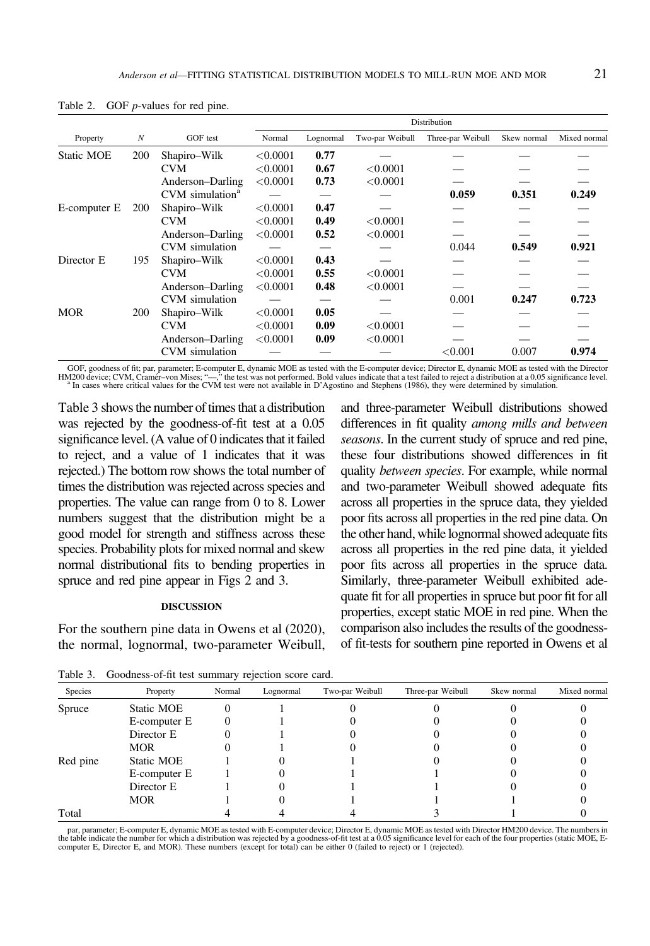|                   | $\boldsymbol{N}$ |                             | Distribution |           |                 |                   |             |              |  |
|-------------------|------------------|-----------------------------|--------------|-----------|-----------------|-------------------|-------------|--------------|--|
| Property          |                  | GOF test                    | Normal       | Lognormal | Two-par Weibull | Three-par Weibull | Skew normal | Mixed normal |  |
| <b>Static MOE</b> | 200              | Shapiro-Wilk                | < 0.0001     | 0.77      |                 |                   |             |              |  |
|                   |                  | CVM.                        | < 0.0001     | 0.67      | < 0.0001        |                   |             |              |  |
|                   |                  | Anderson–Darling            | < 0.0001     | 0.73      | < 0.0001        |                   |             |              |  |
|                   |                  | CVM simulation <sup>a</sup> |              |           |                 | 0.059             | 0.351       | 0.249        |  |
| E-computer E      | <b>200</b>       | Shapiro-Wilk                | < 0.0001     | 0.47      |                 |                   |             |              |  |
|                   |                  | CVM.                        | < 0.0001     | 0.49      | < 0.0001        |                   |             |              |  |
|                   |                  | Anderson–Darling            | < 0.0001     | 0.52      | < 0.0001        |                   |             |              |  |
|                   |                  | CVM simulation              |              |           |                 | 0.044             | 0.549       | 0.921        |  |
| Director E        | 195              | Shapiro-Wilk                | < 0.0001     | 0.43      |                 |                   |             |              |  |
|                   |                  | CVM                         | < 0.0001     | 0.55      | < 0.0001        |                   |             |              |  |
|                   |                  | Anderson–Darling            | < 0.0001     | 0.48      | < 0.0001        |                   |             |              |  |
|                   |                  | CVM simulation              |              |           |                 | 0.001             | 0.247       | 0.723        |  |
| <b>MOR</b>        | 200              | Shapiro-Wilk                | < 0.0001     | 0.05      |                 |                   |             |              |  |
|                   |                  | <b>CVM</b>                  | < 0.0001     | 0.09      | < 0.0001        |                   |             |              |  |
|                   |                  | Anderson–Darling            | < 0.0001     | 0.09      | < 0.0001        |                   |             |              |  |
|                   |                  | CVM simulation              |              |           |                 | < 0.001           | 0.007       | 0.974        |  |

<span id="page-4-0"></span>Table 2. GOF *p*-values for red pine.

GOF, goodness of fit; par, parameter; E-computer E, dynamic MOE as tested with the E-computer device; Director E, dynamic MOE as tested with the Director HM200 device; CVM, Cramér–von Mises; "-," the test was not performed The cases where critical values for the CVM test were not available in D'[Agostino and Stephens \(1986\)](#page-7-0), they were determined by simulation.

Table 3 shows the number of times that a distribution was rejected by the goodness-of-fit test at a 0.05 significance level. (A value of 0 indicates that it failed to reject, and a value of 1 indicates that it was rejected.) The bottom row shows the total number of times the distribution was rejected across species and properties. The value can range from 0 to 8. Lower numbers suggest that the distribution might be a good model for strength and stiffness across these species. Probability plots for mixed normal and skew normal distributional fits to bending properties in spruce and red pine appear in [Figs 2](#page-5-0) and [3](#page-6-0).

#### DISCUSSION

For the southern pine data in [Owens et al \(2020\),](#page-8-0) the normal, lognormal, two-parameter Weibull,

Table 3. Goodness-of-fit test summary rejection score card.

and three-parameter Weibull distributions showed differences in fit quality among mills and between seasons. In the current study of spruce and red pine, these four distributions showed differences in fit quality between species. For example, while normal and two-parameter Weibull showed adequate fits across all properties in the spruce data, they yielded poor fits across all properties in the red pine data. On the other hand, while lognormal showed adequate fits across all properties in the red pine data, it yielded poor fits across all properties in the spruce data. Similarly, three-parameter Weibull exhibited adequate fit for all properties in spruce but poor fit for all properties, except static MOE in red pine. When the comparison also includes the results of the goodnessof fit-tests for southern pine reported in [Owens et al](#page-8-0)

| Species  | Property     | Normal | Lognormal | Two-par Weibull | Three-par Weibull | Skew normal | Mixed normal |
|----------|--------------|--------|-----------|-----------------|-------------------|-------------|--------------|
| Spruce   | Static MOE   |        |           |                 |                   |             |              |
|          | E-computer E |        |           |                 |                   |             |              |
|          | Director E   |        |           |                 |                   |             |              |
|          | <b>MOR</b>   |        |           |                 |                   |             |              |
| Red pine | Static MOE   |        |           |                 |                   |             |              |
|          | E-computer E |        |           |                 |                   |             |              |
|          | Director E   |        |           |                 |                   |             |              |
|          | <b>MOR</b>   |        |           |                 |                   |             |              |
| Total    |              |        |           |                 |                   |             |              |

par, parameter; E-computer E, dynamic MOE as tested with E-computer device; Director E, dynamic MOE as tested with Director HM200 device. The numbers in the table indicate the number for which a distribution was rejected by a goodness-of-fit test at a 0.05 significance level for each of the four properties (static MOE, Ecomputer E, Director E, and MOR). These numbers (except for total) can be either 0 (failed to reject) or 1 (rejected).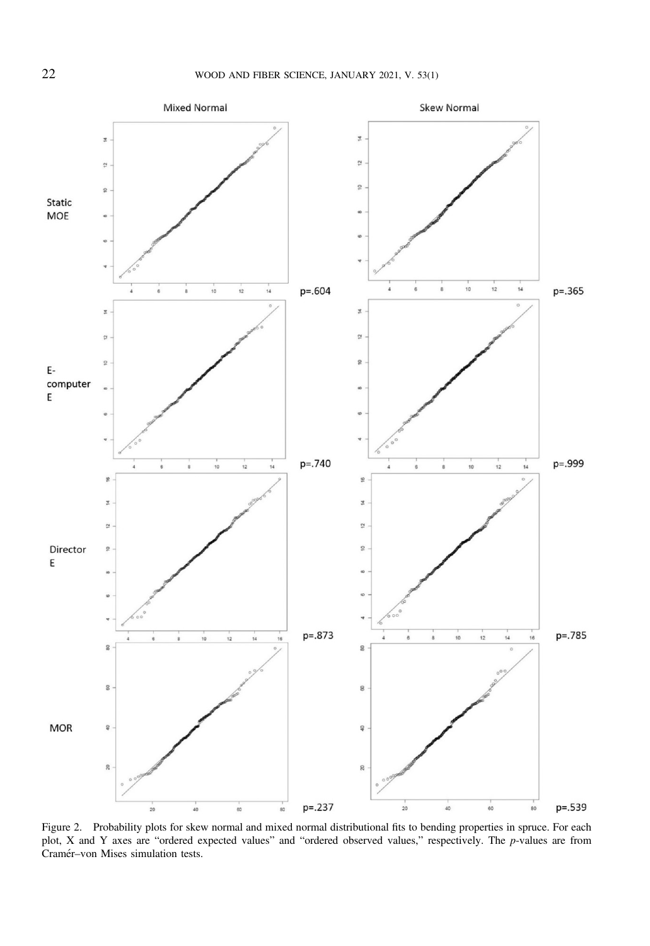<span id="page-5-0"></span>

Figure 2. Probability plots for skew normal and mixed normal distributional fits to bending properties in spruce. For each plot, X and Y axes are "ordered expected values" and "ordered observed values," respectively. The p-values are from Cramér-von Mises simulation tests.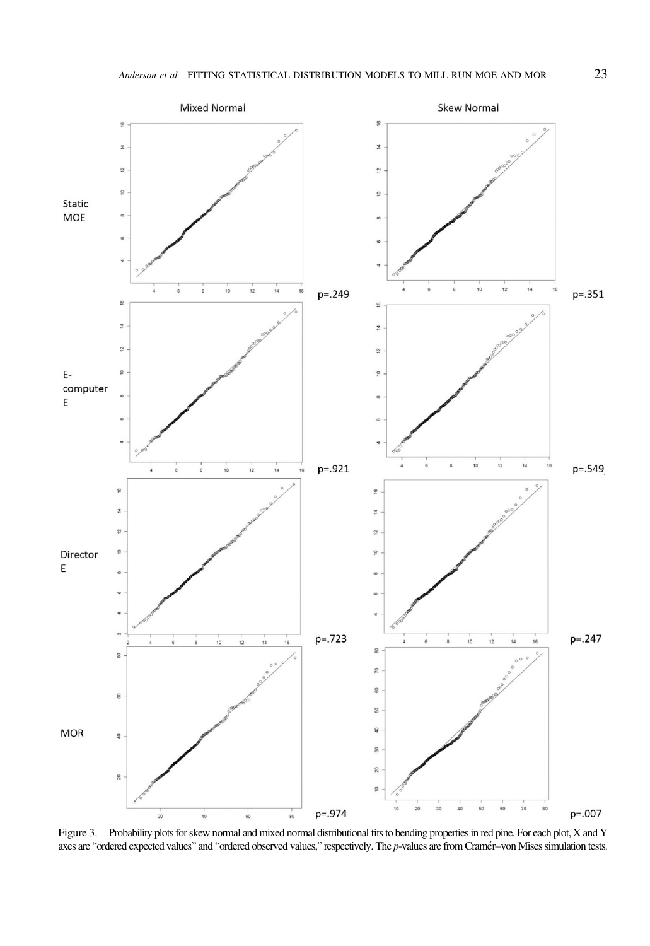<span id="page-6-0"></span>

Figure 3. Probability plots for skew normal and mixed normal distributional fits to bending properties in red pine. For each plot, X and Y axes are "ordered expected values" and "ordered observed values," respectively. The p-values are from Cramér-von Mises simulation tests.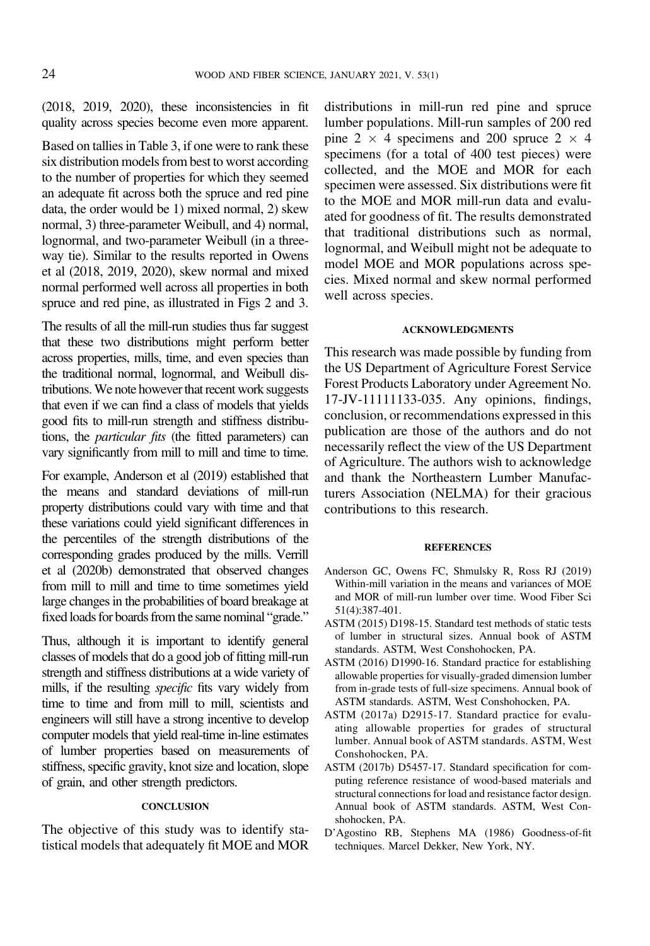<span id="page-7-0"></span>[\(2018, 2019, 2020](#page-8-0)), these inconsistencies in fit quality across species become even more apparent.

Based on tallies in [Table 3](#page-4-0), if one were to rank these six distribution models from best to worst according to the number of properties for which they seemed an adequate fit across both the spruce and red pine data, the order would be 1) mixed normal, 2) skew normal, 3) three-parameter Weibull, and 4) normal, lognormal, and two-parameter Weibull (in a threeway tie). Similar to the results reported in [Owens](#page-8-0) [et al \(2018, 2019, 2020\)](#page-8-0), skew normal and mixed normal performed well across all properties in both spruce and red pine, as illustrated in [Figs 2](#page-5-0) and [3](#page-6-0).

The results of all the mill-run studies thus far suggest that these two distributions might perform better across properties, mills, time, and even species than the traditional normal, lognormal, and Weibull distributions.We note however that recent work suggests that even if we can find a class of models that yields good fits to mill-run strength and stiffness distributions, the particular fits (the fitted parameters) can vary significantly from mill to mill and time to time.

For example, Anderson et al (2019) established that the means and standard deviations of mill-run property distributions could vary with time and that these variations could yield significant differences in the percentiles of the strength distributions of the corresponding grades produced by the mills. [Verrill](#page-8-0) [et al \(2020b\)](#page-8-0) demonstrated that observed changes from mill to mill and time to time sometimes yield large changes in the probabilities of board breakage at fixed loads for boards from the same nominal "grade."

Thus, although it is important to identify general classes of models that do a good job of fitting mill-run strength and stiffness distributions at a wide variety of mills, if the resulting specific fits vary widely from time to time and from mill to mill, scientists and engineers will still have a strong incentive to develop computer models that yield real-time in-line estimates of lumber properties based on measurements of stiffness, specific gravity, knot size and location, slope of grain, and other strength predictors.

### **CONCLUSION**

The objective of this study was to identify statistical models that adequately fit MOE and MOR distributions in mill-run red pine and spruce lumber populations. Mill-run samples of 200 red pine 2  $\times$  4 specimens and 200 spruce 2  $\times$  4 specimens (for a total of 400 test pieces) were collected, and the MOE and MOR for each specimen were assessed. Six distributions were fit to the MOE and MOR mill-run data and evaluated for goodness of fit. The results demonstrated that traditional distributions such as normal, lognormal, and Weibull might not be adequate to model MOE and MOR populations across species. Mixed normal and skew normal performed well across species.

### ACKNOWLEDGMENTS

This research was made possible by funding from the US Department of Agriculture Forest Service Forest Products Laboratory under Agreement No. 17-JV-11111133-035. Any opinions, findings, conclusion, or recommendations expressed in this publication are those of the authors and do not necessarily reflect the view of the US Department of Agriculture. The authors wish to acknowledge and thank the Northeastern Lumber Manufacturers Association (NELMA) for their gracious contributions to this research.

#### **REFERENCES**

- Anderson GC, Owens FC, Shmulsky R, Ross RJ (2019) Within-mill variation in the means and variances of MOE and MOR of mill-run lumber over time. Wood Fiber Sci 51(4):387-401.
- ASTM (2015) D198-15. Standard test methods of static tests of lumber in structural sizes. Annual book of ASTM standards. ASTM, West Conshohocken, PA.
- ASTM (2016) D1990-16. Standard practice for establishing allowable properties for visually-graded dimension lumber from in-grade tests of full-size specimens. Annual book of ASTM standards. ASTM, West Conshohocken, PA.
- ASTM (2017a) D2915-17. Standard practice for evaluating allowable properties for grades of structural lumber. Annual book of ASTM standards. ASTM, West Conshohocken, PA.
- ASTM (2017b) D5457-17. Standard specification for computing reference resistance of wood-based materials and structural connections for load and resistance factor design. Annual book of ASTM standards. ASTM, West Conshohocken, PA.
- D'Agostino RB, Stephens MA (1986) Goodness-of-fit techniques. Marcel Dekker, New York, NY.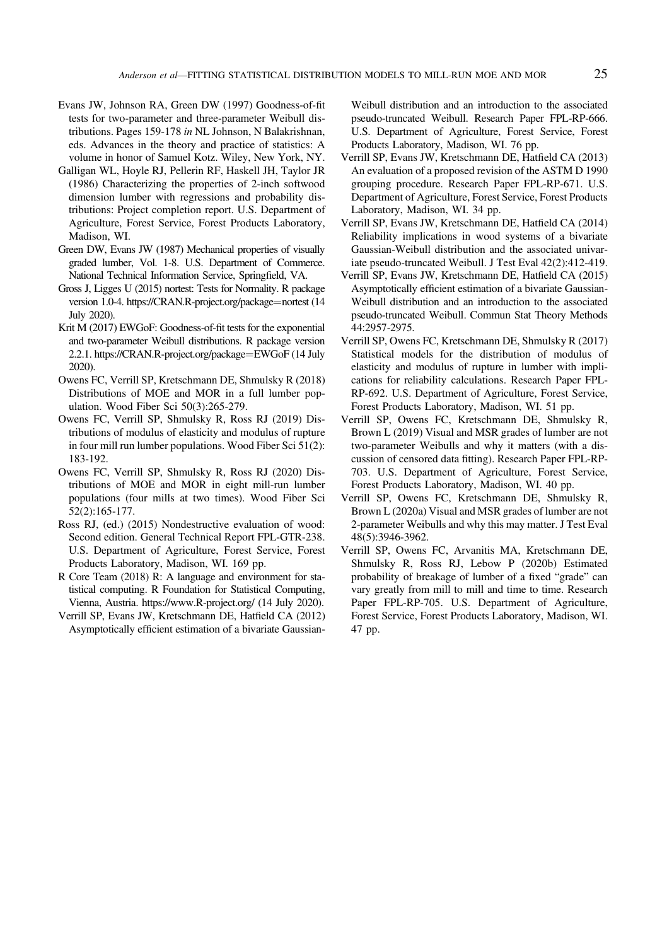- <span id="page-8-0"></span>Evans JW, Johnson RA, Green DW (1997) Goodness-of-fit tests for two-parameter and three-parameter Weibull distributions. Pages 159-178 in NL Johnson, N Balakrishnan, eds. Advances in the theory and practice of statistics: A volume in honor of Samuel Kotz. Wiley, New York, NY.
- Galligan WL, Hoyle RJ, Pellerin RF, Haskell JH, Taylor JR (1986) Characterizing the properties of 2-inch softwood dimension lumber with regressions and probability distributions: Project completion report. U.S. Department of Agriculture, Forest Service, Forest Products Laboratory, Madison, WI.
- Green DW, Evans JW (1987) Mechanical properties of visually graded lumber, Vol. 1-8. U.S. Department of Commerce. National Technical Information Service, Springfield, VA.
- Gross J, Ligges U (2015) nortest: Tests for Normality. R package version 1.0-4. [https://CRAN.R-project.org/package](https://CRAN.R-project.org/package=nortest)=[nortest](https://CRAN.R-project.org/package=nortest) (14 July 2020).
- Krit M (2017) EWGoF: Goodness-of-fit tests for the exponential and two-parameter Weibull distributions. R package version 2.2.1. [https://CRAN.R-project.org/package](https://CRAN.R-project.org/package=EWGoF)=[EWGoF](https://CRAN.R-project.org/package=EWGoF) (14 July 2020).
- Owens FC, Verrill SP, Kretschmann DE, Shmulsky R (2018) Distributions of MOE and MOR in a full lumber population. Wood Fiber Sci 50(3):265-279.
- Owens FC, Verrill SP, Shmulsky R, Ross RJ (2019) Distributions of modulus of elasticity and modulus of rupture in four mill run lumber populations. Wood Fiber Sci 51(2): 183-192.
- Owens FC, Verrill SP, Shmulsky R, Ross RJ (2020) Distributions of MOE and MOR in eight mill-run lumber populations (four mills at two times). Wood Fiber Sci 52(2):165-177.
- Ross RJ, (ed.) (2015) Nondestructive evaluation of wood: Second edition. General Technical Report FPL-GTR-238. U.S. Department of Agriculture, Forest Service, Forest Products Laboratory, Madison, WI. 169 pp.
- R Core Team (2018) R: A language and environment for statistical computing. R Foundation for Statistical Computing, Vienna, Austria.<https://www.R-project.org/> (14 July 2020).
- Verrill SP, Evans JW, Kretschmann DE, Hatfield CA (2012) Asymptotically efficient estimation of a bivariate Gaussian-

Weibull distribution and an introduction to the associated pseudo-truncated Weibull. Research Paper FPL-RP-666. U.S. Department of Agriculture, Forest Service, Forest Products Laboratory, Madison, WI. 76 pp.

- Verrill SP, Evans JW, Kretschmann DE, Hatfield CA (2013) An evaluation of a proposed revision of the ASTM D 1990 grouping procedure. Research Paper FPL-RP-671. U.S. Department of Agriculture, Forest Service, Forest Products Laboratory, Madison, WI. 34 pp.
- Verrill SP, Evans JW, Kretschmann DE, Hatfield CA (2014) Reliability implications in wood systems of a bivariate Gaussian-Weibull distribution and the associated univariate pseudo-truncated Weibull. J Test Eval 42(2):412-419.
- Verrill SP, Evans JW, Kretschmann DE, Hatfield CA (2015) Asymptotically efficient estimation of a bivariate Gaussian-Weibull distribution and an introduction to the associated pseudo-truncated Weibull. Commun Stat Theory Methods 44:2957-2975.
- Verrill SP, Owens FC, Kretschmann DE, Shmulsky R (2017) Statistical models for the distribution of modulus of elasticity and modulus of rupture in lumber with implications for reliability calculations. Research Paper FPL-RP-692. U.S. Department of Agriculture, Forest Service, Forest Products Laboratory, Madison, WI. 51 pp.
- Verrill SP, Owens FC, Kretschmann DE, Shmulsky R, Brown L (2019) Visual and MSR grades of lumber are not two-parameter Weibulls and why it matters (with a discussion of censored data fitting). Research Paper FPL-RP-703. U.S. Department of Agriculture, Forest Service, Forest Products Laboratory, Madison, WI. 40 pp.
- Verrill SP, Owens FC, Kretschmann DE, Shmulsky R, Brown L (2020a) Visual and MSR grades of lumber are not 2-parameter Weibulls and why this may matter. J Test Eval 48(5):3946-3962.
- Verrill SP, Owens FC, Arvanitis MA, Kretschmann DE, Shmulsky R, Ross RJ, Lebow P (2020b) Estimated probability of breakage of lumber of a fixed "grade" can vary greatly from mill to mill and time to time. Research Paper FPL-RP-705. U.S. Department of Agriculture, Forest Service, Forest Products Laboratory, Madison, WI. 47 pp.